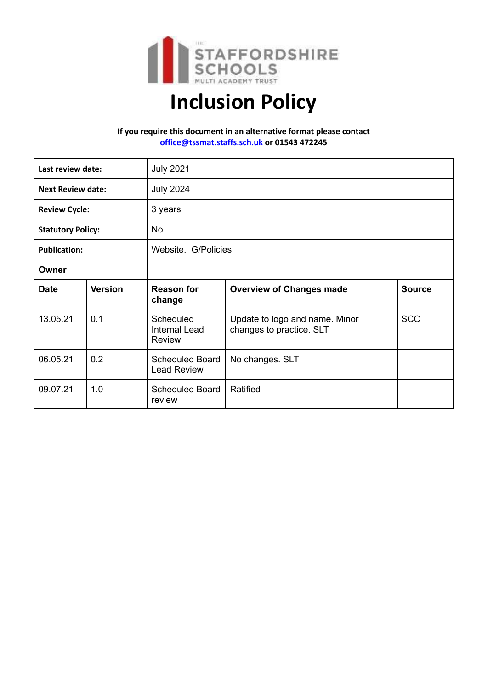

# **Inclusion Policy**

## **If you require this document in an alternative format please contact [office@tssmat.staffs.sch.uk](mailto:office@tssmat.staffs.sch.uk) or 01543 472245**

| Last review date:        |                | <b>July 2021</b>                                   |                                                            |               |
|--------------------------|----------------|----------------------------------------------------|------------------------------------------------------------|---------------|
| <b>Next Review date:</b> |                | <b>July 2024</b>                                   |                                                            |               |
| <b>Review Cycle:</b>     |                | 3 years                                            |                                                            |               |
| <b>Statutory Policy:</b> |                | <b>No</b>                                          |                                                            |               |
| <b>Publication:</b>      |                | Website. G/Policies                                |                                                            |               |
| Owner                    |                |                                                    |                                                            |               |
| <b>Date</b>              | <b>Version</b> | <b>Reason for</b><br>change                        | <b>Overview of Changes made</b>                            | <b>Source</b> |
| 13.05.21                 | 0.1            | Scheduled<br><b>Internal Lead</b><br><b>Review</b> | Update to logo and name. Minor<br>changes to practice. SLT | <b>SCC</b>    |
| 06.05.21                 | 0.2            | <b>Scheduled Board</b><br><b>Lead Review</b>       | No changes. SLT                                            |               |
| 09.07.21                 | 1.0            | <b>Scheduled Board</b><br>review                   | Ratified                                                   |               |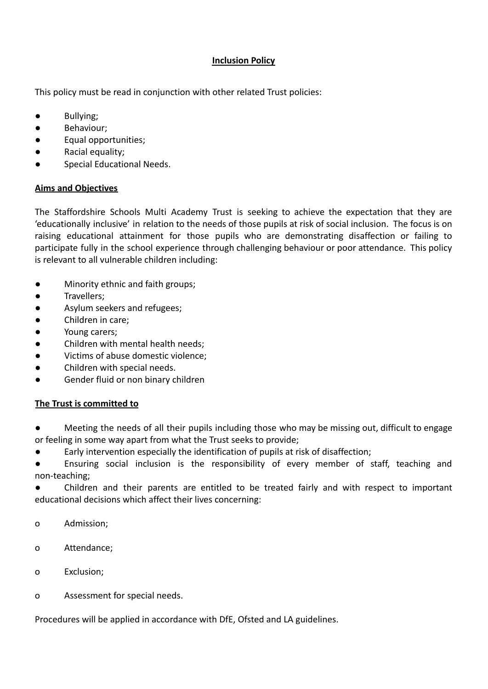# **Inclusion Policy**

This policy must be read in conjunction with other related Trust policies:

- Bullying;
- Behaviour;
- Equal opportunities;
- Racial equality;
- Special Educational Needs.

# **Aims and Objectives**

The Staffordshire Schools Multi Academy Trust is seeking to achieve the expectation that they are 'educationally inclusive' in relation to the needs of those pupils at risk of social inclusion. The focus is on raising educational attainment for those pupils who are demonstrating disaffection or failing to participate fully in the school experience through challenging behaviour or poor attendance. This policy is relevant to all vulnerable children including:

- Minority ethnic and faith groups;
- Travellers;
- Asylum seekers and refugees;
- Children in care;
- Young carers;
- Children with mental health needs;
- Victims of abuse domestic violence;
- Children with special needs.
- Gender fluid or non binary children

# **The Trust is committed to**

- Meeting the needs of all their pupils including those who may be missing out, difficult to engage or feeling in some way apart from what the Trust seeks to provide;
- Early intervention especially the identification of pupils at risk of disaffection;
- Ensuring social inclusion is the responsibility of every member of staff, teaching and non-teaching;

● Children and their parents are entitled to be treated fairly and with respect to important educational decisions which affect their lives concerning:

- o Admission;
- o Attendance;
- o Exclusion;
- o Assessment for special needs.

Procedures will be applied in accordance with DfE, Ofsted and LA guidelines.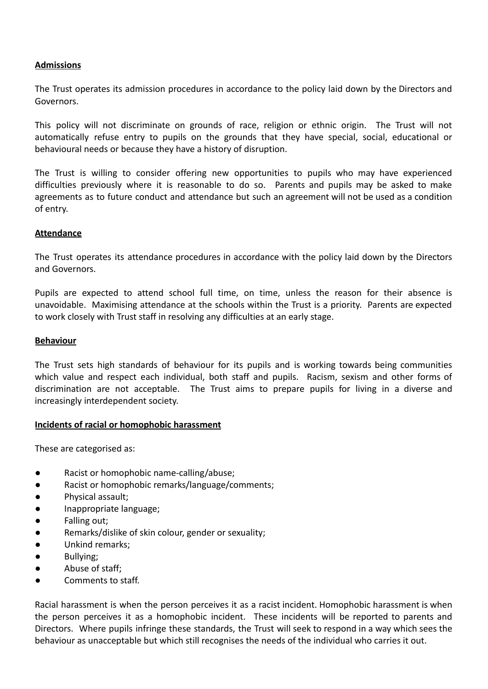## **Admissions**

The Trust operates its admission procedures in accordance to the policy laid down by the Directors and Governors.

This policy will not discriminate on grounds of race, religion or ethnic origin. The Trust will not automatically refuse entry to pupils on the grounds that they have special, social, educational or behavioural needs or because they have a history of disruption.

The Trust is willing to consider offering new opportunities to pupils who may have experienced difficulties previously where it is reasonable to do so. Parents and pupils may be asked to make agreements as to future conduct and attendance but such an agreement will not be used as a condition of entry.

## **Attendance**

The Trust operates its attendance procedures in accordance with the policy laid down by the Directors and Governors.

Pupils are expected to attend school full time, on time, unless the reason for their absence is unavoidable. Maximising attendance at the schools within the Trust is a priority. Parents are expected to work closely with Trust staff in resolving any difficulties at an early stage.

#### **Behaviour**

The Trust sets high standards of behaviour for its pupils and is working towards being communities which value and respect each individual, both staff and pupils. Racism, sexism and other forms of discrimination are not acceptable. The Trust aims to prepare pupils for living in a diverse and increasingly interdependent society.

## **Incidents of racial or homophobic harassment**

These are categorised as:

- Racist or homophobic name-calling/abuse;
- Racist or homophobic remarks/language/comments;
- Physical assault;
- Inappropriate language;
- Falling out;
- Remarks/dislike of skin colour, gender or sexuality;
- Unkind remarks;
- Bullying;
- Abuse of staff;
- Comments to staff.

Racial harassment is when the person perceives it as a racist incident. Homophobic harassment is when the person perceives it as a homophobic incident. These incidents will be reported to parents and Directors. Where pupils infringe these standards, the Trust will seek to respond in a way which sees the behaviour as unacceptable but which still recognises the needs of the individual who carries it out.